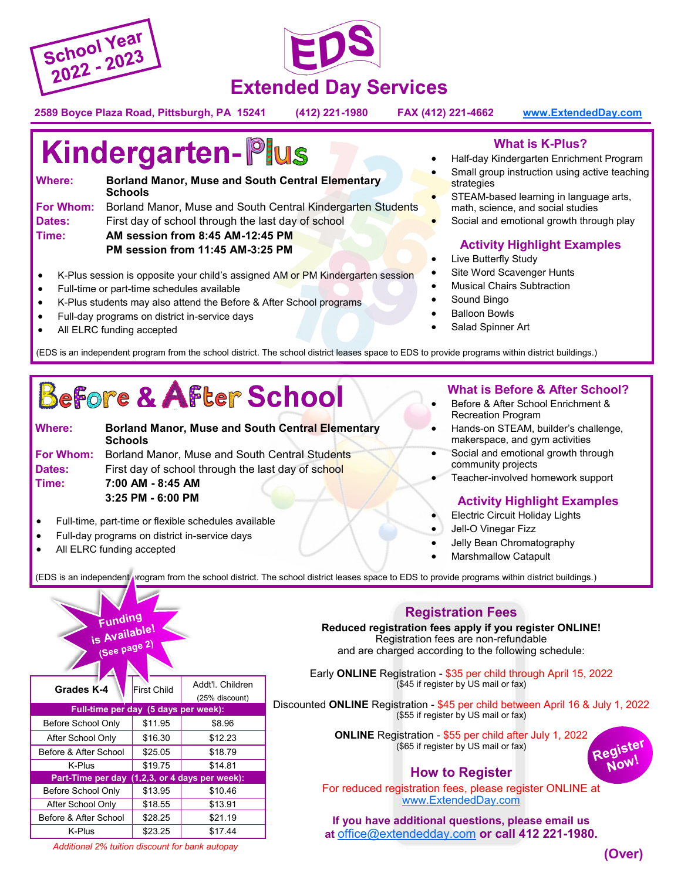



**2589 Boyce Plaza Road, Pittsburgh, PA 15241 (412) 221-1980 FAX (412) 221-4662 [www.ExtendedDay.com](http://www.ExtendedDay.com)** 

# **Kindergarten-Plus**

| Where:        | <b>Borland Manor, Muse and South Central Elementary</b><br><b>Schools</b>    |  |  |  |  |
|---------------|------------------------------------------------------------------------------|--|--|--|--|
|               | <b>For Whom:</b> Borland Manor, Muse and South Central Kindergarten Students |  |  |  |  |
| <b>Dates:</b> | First day of school through the last day of school                           |  |  |  |  |
| Time:         | AM session from 8:45 AM-12:45 PM                                             |  |  |  |  |
|               | PM session from 11:45 AM-3:25 PM                                             |  |  |  |  |

- K-Plus session is opposite your child's assigned AM or PM Kindergarten session
- Full-time or part-time schedules available
- K-Plus students may also attend the Before & After School programs
- Full-day programs on district in-service days
- All ELRC funding accepted

#### **What is K-Plus?**

- Half-day Kindergarten Enrichment Program
- Small group instruction using active teaching strategies
- STEAM-based learning in language arts, math, science, and social studies
- Social and emotional growth through play

### **Activity Highlight Examples**

- Live Butterfly Study
- Site Word Scavenger Hunts
- **Musical Chairs Subtraction**
- Sound Bingo
- Balloon Bowls
- Salad Spinner Art

(EDS is an independent program from the school district. The school district leases space to EDS to provide programs within district buildings.)

# Before & After School

| Where:        | <b>Borland Manor, Muse and South Central Elementary</b><br><b>Schools</b> |
|---------------|---------------------------------------------------------------------------|
| For Whom:     | Borland Manor, Muse and South Central Students                            |
| <b>Dates:</b> | First day of school through the last day of school                        |
| Time:         | 7:00 AM - 8:45 AM                                                         |
|               | 3:25 PM - 6:00 PM                                                         |

- Full-time, part-time or flexible schedules available
- Full-day programs on district in-service days
- All ELRC funding accepted

#### **What is Before & After School?**

- Before & After School Enrichment & Recreation Program
- Hands-on STEAM, builder's challenge, makerspace, and gym activities
- Social and emotional growth through community projects
- Teacher-involved homework support

### **Activity Highlight Examples**

- Electric Circuit Holiday Lights
- Jell-O Vinegar Fizz
- Jelly Bean Chromatography
- Marshmallow Catapult

(EDS is an independent program from the school district. The school district leases space to EDS to provide programs within district buildings.)

| Funding<br>is Available!<br>(See page 2)       |                    |                                    |  |  |  |  |  |  |  |
|------------------------------------------------|--------------------|------------------------------------|--|--|--|--|--|--|--|
| Grades K-4                                     | <b>First Child</b> | Addt'l. Children<br>(25% discount) |  |  |  |  |  |  |  |
| Full-time per day (5 days per week):           |                    |                                    |  |  |  |  |  |  |  |
| Before School Only                             | \$11.95            | \$8.96                             |  |  |  |  |  |  |  |
| After School Only                              | \$16.30            | \$12.23                            |  |  |  |  |  |  |  |
| Before & After School                          | \$25.05            | \$18.79                            |  |  |  |  |  |  |  |
| K-Plus                                         | \$19.75            | \$14.81                            |  |  |  |  |  |  |  |
| Part-Time per day (1,2,3, or 4 days per week): |                    |                                    |  |  |  |  |  |  |  |
| Before School Only                             | \$13.95            | \$10.46                            |  |  |  |  |  |  |  |
| After School Only                              | \$18.55            | \$13.91                            |  |  |  |  |  |  |  |
| Before & After School                          | \$28.25            | \$21.19                            |  |  |  |  |  |  |  |
| K-Plus                                         | \$23.25            | \$17.44                            |  |  |  |  |  |  |  |

## **Registration Fees**

**Reduced registration fees apply if you register ONLINE!**  Registration fees are non-refundable and are charged according to the following schedule:

Early **ONLINE** Registration - \$35 per child through April 15, 2022 (\$45 if register by US mail or fax)

Discounted **ONLINE** Registration - \$45 per child between April 16 & July 1, 2022 (\$55 if register by US mail or fax)

> **ONLINE** Registration - \$55 per child after July 1, 2022 (\$65 if register by US mail or fax)

# **How to Register**

For reduced registration fees, please register ONLINE at [www.ExtendedDay.com](http://www.ExtendedDay.com) 

**If you have additional questions, please email us at** [office@extendedday.com](mailto:office@extendedday.com) **or call 412 221-1980.**

*Additional 2% tuition discount for bank autopay* 

Register Now!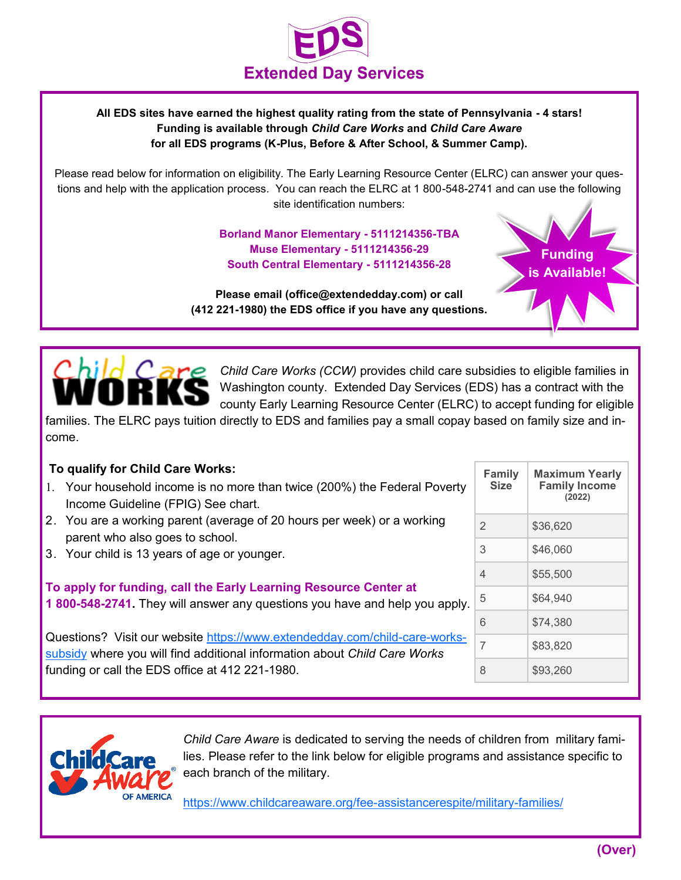

#### **All EDS sites have earned the highest quality rating from the state of Pennsylvania - 4 stars! Funding is available through** *Child Care Works* **and** *Child Care Aware*  **for all EDS programs (K-Plus, Before & After School, & Summer Camp).**

Please read below for information on eligibility. The Early Learning Resource Center (ELRC) can answer your questions and help with the application process. You can reach the ELRC at 1 800-548-2741 and can use the following site identification numbers:

> **Borland Manor Elementary - 5111214356-TBA Muse Elementary - 5111214356-29 South Central Elementary - 5111214356-28**

**Please email (office@extendedday.com) or call (412 221-1980) the EDS office if you have any questions.** 



*Child Care Works (CCW)* provides child care subsidies to eligible families in Washington county. Extended Day Services (EDS) has a contract with the county Early Learning Resource Center (ELRC) to accept funding for eligible

families. The ELRC pays tuition directly to EDS and families pay a small copay based on family size and income.

#### **To qualify for Child Care Works:**

- Your household income is no more than twice (200%) the Federal Poverty Income Guideline (FPIG) See chart.
- 2. You are a working parent (average of 20 hours per week) or a working parent who also goes to school.
- 3. Your child is 13 years of age or younger.

**To apply for funding, call the Early Learning Resource Center at 1 800-548-2741.** They will answer any questions you have and help you apply.

Questions? Visit our website [https://www.extendedday.com/child](https://www.extendedday.com/child-care-works-subsidy)-care-works[subsidy](https://www.extendedday.com/child-care-works-subsidy) where you will find additional information about *Child Care Works*  funding or call the EDS office at 412 221-1980.

| <b>Family</b><br><b>Size</b> | <b>Maximum Yearly</b><br><b>Family Income</b><br>(2022) |  |  |  |  |  |
|------------------------------|---------------------------------------------------------|--|--|--|--|--|
| $\overline{2}$               | \$36,620                                                |  |  |  |  |  |
| 3                            | \$46.060                                                |  |  |  |  |  |
| 4                            | \$55,500                                                |  |  |  |  |  |
| 5                            | \$64,940                                                |  |  |  |  |  |
| 6                            | \$74.380                                                |  |  |  |  |  |
| $\overline{7}$               | \$83,820                                                |  |  |  |  |  |
| 8                            | \$93,260                                                |  |  |  |  |  |

**Funding is Available!**



*Child Care Aware* is dedicated to serving the needs of children from military families. Please refer to the link below for eligible programs and assistance specific to each branch of the military.

[https://www.childcareaware.org/fee](https://www.childcareaware.org/fee-assistancerespite/military-families/)-assistancerespite/military-families/